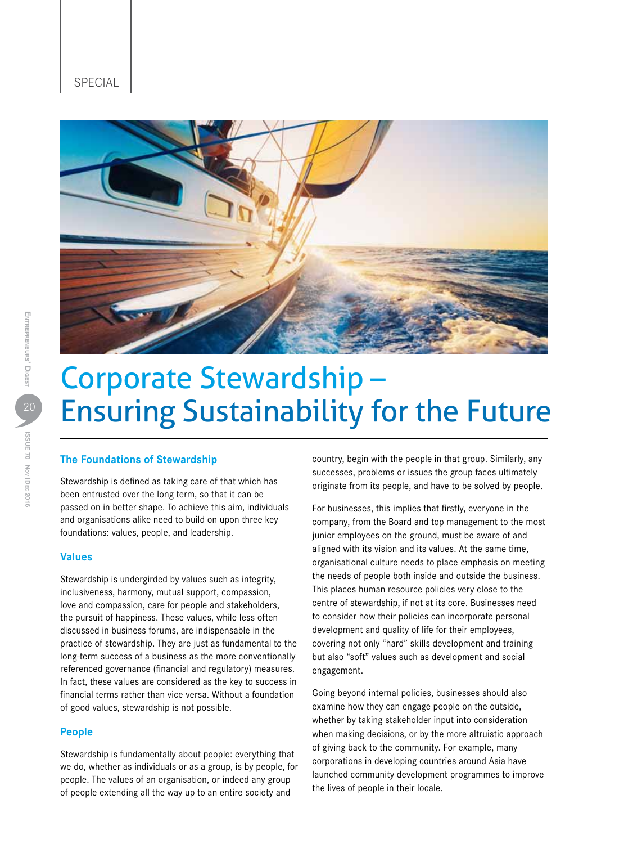



ISSUE 70 Nov Dec 2016

ISSUE 70 Nov | DEc 2016

# Corporate Stewardship – Ensuring Sustainability for the Future

# **The Foundations of Stewardship**

Stewardship is defined as taking care of that which has been entrusted over the long term, so that it can be passed on in better shape. To achieve this aim, individuals and organisations alike need to build on upon three key foundations: values, people, and leadership.

# **Values**

Stewardship is undergirded by values such as integrity, inclusiveness, harmony, mutual support, compassion, love and compassion, care for people and stakeholders, the pursuit of happiness. These values, while less often discussed in business forums, are indispensable in the practice of stewardship. They are just as fundamental to the long-term success of a business as the more conventionally referenced governance (financial and regulatory) measures. In fact, these values are considered as the key to success in financial terms rather than vice versa. Without a foundation of good values, stewardship is not possible.

# **People**

Stewardship is fundamentally about people: everything that we do, whether as individuals or as a group, is by people, for people. The values of an organisation, or indeed any group of people extending all the way up to an entire society and

country, begin with the people in that group. Similarly, any successes, problems or issues the group faces ultimately originate from its people, and have to be solved by people.

For businesses, this implies that firstly, everyone in the company, from the Board and top management to the most junior employees on the ground, must be aware of and aligned with its vision and its values. At the same time, organisational culture needs to place emphasis on meeting the needs of people both inside and outside the business. This places human resource policies very close to the centre of stewardship, if not at its core. Businesses need to consider how their policies can incorporate personal development and quality of life for their employees, covering not only "hard" skills development and training but also "soft" values such as development and social engagement.

Going beyond internal policies, businesses should also examine how they can engage people on the outside, whether by taking stakeholder input into consideration when making decisions, or by the more altruistic approach of giving back to the community. For example, many corporations in developing countries around Asia have launched community development programmes to improve the lives of people in their locale.